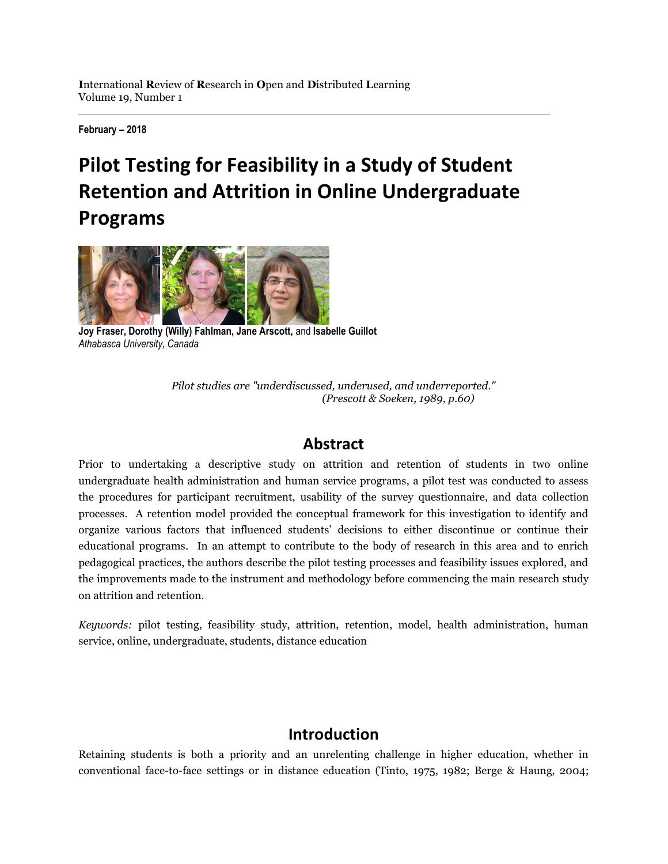**February – 2018**

# **Pilot Testing for Feasibility in a Study of Student Retention and Attrition in Online Undergraduate Programs**



**Joy Fraser, Dorothy (Willy) Fahlman, Jane Arscott,** and **Isabelle Guillot** *Athabasca University, Canada*

*Pilot studies are "underdiscussed, underused, and underreported." (Prescott & Soeken, 1989, p.60)*

### **Abstract**

Prior to undertaking a descriptive study on attrition and retention of students in two online undergraduate health administration and human service programs, a pilot test was conducted to assess the procedures for participant recruitment, usability of the survey questionnaire, and data collection processes. A retention model provided the conceptual framework for this investigation to identify and organize various factors that influenced students' decisions to either discontinue or continue their educational programs. In an attempt to contribute to the body of research in this area and to enrich pedagogical practices, the authors describe the pilot testing processes and feasibility issues explored, and the improvements made to the instrument and methodology before commencing the main research study on attrition and retention.

*Keywords:* pilot testing, feasibility study, attrition, retention, model, health administration, human service, online, undergraduate, students, distance education

### **Introduction**

Retaining students is both a priority and an unrelenting challenge in higher education, whether in conventional face-to-face settings or in distance education (Tinto, 1975, 1982; Berge & Haung, 2004;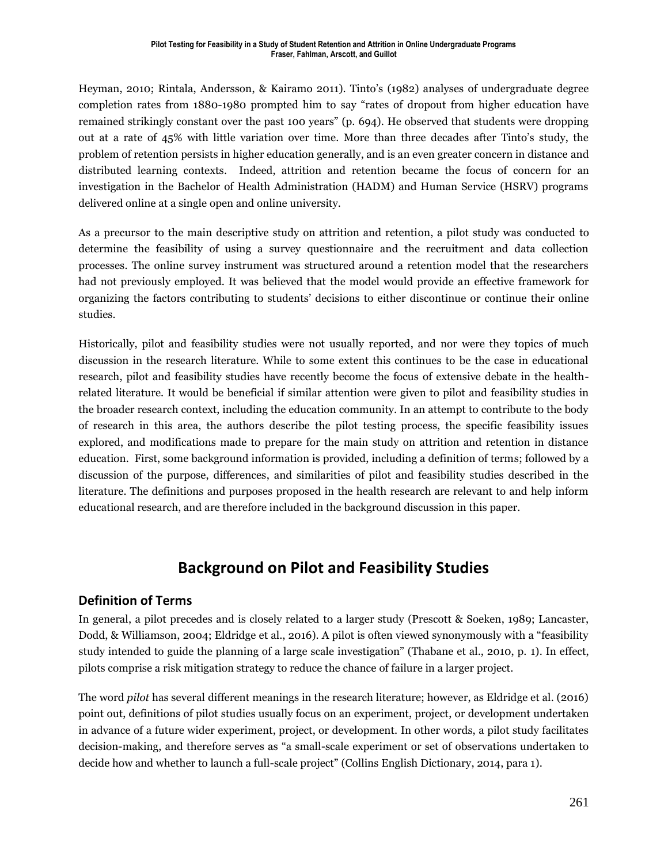Heyman, 2010; Rintala, Andersson, & Kairamo 2011). Tinto's (1982) analyses of undergraduate degree completion rates from 1880-1980 prompted him to say "rates of dropout from higher education have remained strikingly constant over the past 100 years" (p. 694). He observed that students were dropping out at a rate of 45% with little variation over time. More than three decades after Tinto's study, the problem of retention persists in higher education generally, and is an even greater concern in distance and distributed learning contexts. Indeed, attrition and retention became the focus of concern for an investigation in the Bachelor of Health Administration (HADM) and Human Service (HSRV) programs delivered online at a single open and online university.

As a precursor to the main descriptive study on attrition and retention, a pilot study was conducted to determine the feasibility of using a survey questionnaire and the recruitment and data collection processes. The online survey instrument was structured around a retention model that the researchers had not previously employed. It was believed that the model would provide an effective framework for organizing the factors contributing to students' decisions to either discontinue or continue their online studies.

Historically, pilot and feasibility studies were not usually reported, and nor were they topics of much discussion in the research literature. While to some extent this continues to be the case in educational research, pilot and feasibility studies have recently become the focus of extensive debate in the healthrelated literature. It would be beneficial if similar attention were given to pilot and feasibility studies in the broader research context, including the education community. In an attempt to contribute to the body of research in this area, the authors describe the pilot testing process, the specific feasibility issues explored, and modifications made to prepare for the main study on attrition and retention in distance education. First, some background information is provided, including a definition of terms; followed by a discussion of the purpose, differences, and similarities of pilot and feasibility studies described in the literature. The definitions and purposes proposed in the health research are relevant to and help inform educational research, and are therefore included in the background discussion in this paper.

### **Background on Pilot and Feasibility Studies**

### **Definition of Terms**

In general, a pilot precedes and is closely related to a larger study (Prescott & Soeken, 1989; Lancaster, Dodd, & Williamson, 2004; Eldridge et al., 2016). A pilot is often viewed synonymously with a "feasibility study intended to guide the planning of a large scale investigation" (Thabane et al., 2010, p. 1). In effect, pilots comprise a risk mitigation strategy to reduce the chance of failure in a larger project.

The word *pilot* has several different meanings in the research literature; however, as Eldridge et al. (2016) point out, definitions of pilot studies usually focus on an experiment, project, or development undertaken in advance of a future wider experiment, project, or development. In other words, a pilot study facilitates decision-making, and therefore serves as "a small-scale experiment or set of observations undertaken to decide how and whether to launch a full-scale project" (Collins English Dictionary, 2014, para 1).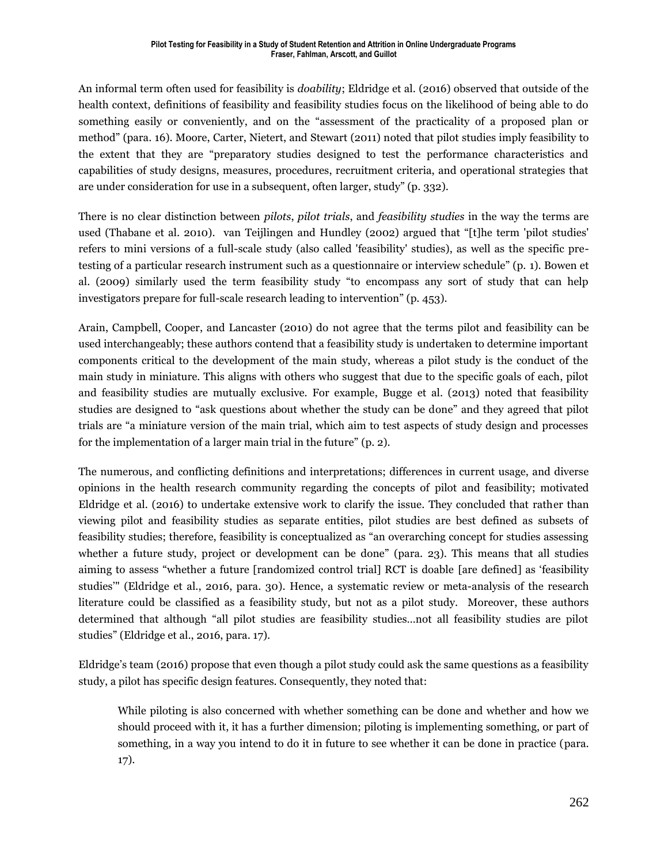An informal term often used for feasibility is *doability*; Eldridge et al. (2016) observed that outside of the health context, definitions of feasibility and feasibility studies focus on the likelihood of being able to do something easily or conveniently, and on the "assessment of the practicality of a proposed plan or method" (para. 16). Moore, Carter, Nietert, and Stewart (2011) noted that pilot studies imply feasibility to the extent that they are "preparatory studies designed to test the performance characteristics and capabilities of study designs, measures, procedures, recruitment criteria, and operational strategies that are under consideration for use in a subsequent, often larger, study" (p. 332).

There is no clear distinction between *pilots*, *pilot trials*, and *feasibility studies* in the way the terms are used (Thabane et al. 2010). van Teijlingen and Hundley (2002) argued that "[t]he term 'pilot studies' refers to mini versions of a full-scale study (also called 'feasibility' studies), as well as the specific pretesting of a particular research instrument such as a questionnaire or interview schedule" (p. 1). Bowen et al. (2009) similarly used the term feasibility study "to encompass any sort of study that can help investigators prepare for full-scale research leading to intervention" (p. 453).

Arain, Campbell, Cooper, and Lancaster (2010) do not agree that the terms pilot and feasibility can be used interchangeably; these authors contend that a feasibility study is undertaken to determine important components critical to the development of the main study, whereas a pilot study is the conduct of the main study in miniature. This aligns with others who suggest that due to the specific goals of each, pilot and feasibility studies are mutually exclusive. For example, Bugge et al. (2013) noted that feasibility studies are designed to "ask questions about whether the study can be done" and they agreed that pilot trials are "a miniature version of the main trial, which aim to test aspects of study design and processes for the implementation of a larger main trial in the future" (p. 2).

The numerous, and conflicting definitions and interpretations; differences in current usage, and diverse opinions in the health research community regarding the concepts of pilot and feasibility; motivated Eldridge et al. (2016) to undertake extensive work to clarify the issue. They concluded that rather than viewing pilot and feasibility studies as separate entities, pilot studies are best defined as subsets of feasibility studies; therefore, feasibility is conceptualized as "an overarching concept for studies assessing whether a future study, project or development can be done" (para. 23). This means that all studies aiming to assess "whether a future [randomized control trial] RCT is doable [are defined] as 'feasibility studies'" (Eldridge et al., 2016, para. 30). Hence, a systematic review or meta-analysis of the research literature could be classified as a feasibility study, but not as a pilot study. Moreover, these authors determined that although "all pilot studies are feasibility studies…not all feasibility studies are pilot studies" (Eldridge et al., 2016, para. 17).

Eldridge's team (2016) propose that even though a pilot study could ask the same questions as a feasibility study, a pilot has specific design features. Consequently, they noted that:

While piloting is also concerned with whether something can be done and whether and how we should proceed with it, it has a further dimension; piloting is implementing something, or part of something, in a way you intend to do it in future to see whether it can be done in practice (para. 17).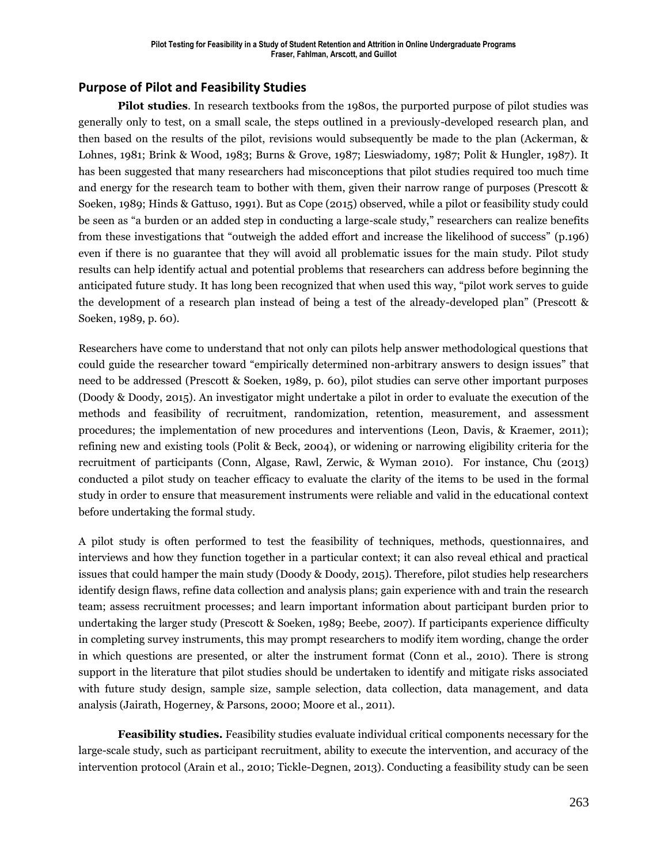#### **Purpose of Pilot and Feasibility Studies**

**Pilot studies**. In research textbooks from the 1980s, the purported purpose of pilot studies was generally only to test, on a small scale, the steps outlined in a previously-developed research plan, and then based on the results of the pilot, revisions would subsequently be made to the plan (Ackerman, & Lohnes, 1981; Brink & Wood, 1983; Burns & Grove, 1987; Lieswiadomy, 1987; Polit & Hungler, 1987). It has been suggested that many researchers had misconceptions that pilot studies required too much time and energy for the research team to bother with them, given their narrow range of purposes (Prescott & Soeken, 1989; Hinds & Gattuso, 1991). But as Cope (2015) observed, while a pilot or feasibility study could be seen as "a burden or an added step in conducting a large-scale study," researchers can realize benefits from these investigations that "outweigh the added effort and increase the likelihood of success" (p.196) even if there is no guarantee that they will avoid all problematic issues for the main study. Pilot study results can help identify actual and potential problems that researchers can address before beginning the anticipated future study. It has long been recognized that when used this way, "pilot work serves to guide the development of a research plan instead of being a test of the already-developed plan" (Prescott & Soeken, 1989, p. 60).

Researchers have come to understand that not only can pilots help answer methodological questions that could guide the researcher toward "empirically determined non-arbitrary answers to design issues" that need to be addressed (Prescott & Soeken, 1989, p. 60), pilot studies can serve other important purposes (Doody & Doody, 2015). An investigator might undertake a pilot in order to evaluate the execution of the methods and feasibility of recruitment, randomization, retention, measurement, and assessment procedures; the implementation of new procedures and interventions (Leon, Davis, & Kraemer, 2011); refining new and existing tools (Polit & Beck, 2004), or widening or narrowing eligibility criteria for the recruitment of participants (Conn, Algase, Rawl, Zerwic, & Wyman 2010). For instance, Chu (2013) conducted a pilot study on teacher efficacy to evaluate the clarity of the items to be used in the formal study in order to ensure that measurement instruments were reliable and valid in the educational context before undertaking the formal study.

A pilot study is often performed to test the feasibility of techniques, methods, questionnaires, and interviews and how they function together in a particular context; it can also reveal ethical and practical issues that could hamper the main study (Doody & Doody, 2015). Therefore, pilot studies help researchers identify design flaws, refine data collection and analysis plans; gain experience with and train the research team; assess recruitment processes; and learn important information about participant burden prior to undertaking the larger study (Prescott & Soeken, 1989; Beebe, 2007). If participants experience difficulty in completing survey instruments, this may prompt researchers to modify item wording, change the order in which questions are presented, or alter the instrument format (Conn et al., 2010). There is strong support in the literature that pilot studies should be undertaken to identify and mitigate risks associated with future study design, sample size, sample selection, data collection, data management, and data analysis (Jairath, Hogerney, & Parsons, 2000; Moore et al., 2011).

**Feasibility studies.** Feasibility studies evaluate individual critical components necessary for the large-scale study, such as participant recruitment, ability to execute the intervention, and accuracy of the intervention protocol (Arain et al., 2010; Tickle-Degnen, 2013). Conducting a feasibility study can be seen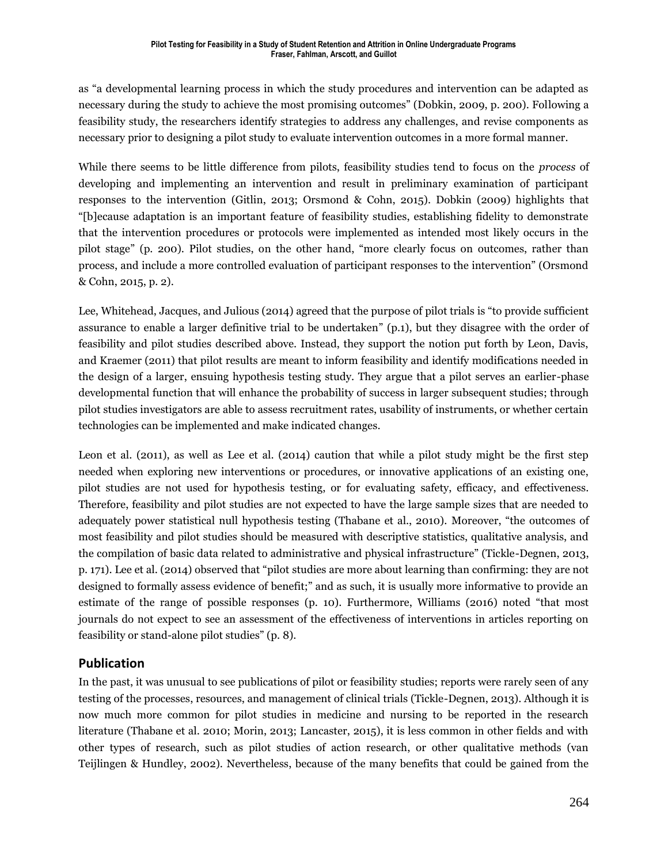as "a developmental learning process in which the study procedures and intervention can be adapted as necessary during the study to achieve the most promising outcomes" (Dobkin, 2009, p. 200). Following a feasibility study, the researchers identify strategies to address any challenges, and revise components as necessary prior to designing a pilot study to evaluate intervention outcomes in a more formal manner.

While there seems to be little difference from pilots, feasibility studies tend to focus on the *process* of developing and implementing an intervention and result in preliminary examination of participant responses to the intervention (Gitlin, 2013; Orsmond & Cohn, 2015). Dobkin (2009) highlights that "[b]ecause adaptation is an important feature of feasibility studies, establishing fidelity to demonstrate that the intervention procedures or protocols were implemented as intended most likely occurs in the pilot stage" (p. 200). Pilot studies, on the other hand, "more clearly focus on outcomes, rather than process, and include a more controlled evaluation of participant responses to the intervention" (Orsmond & Cohn, 2015, p. 2).

Lee, Whitehead, Jacques, and Julious (2014) agreed that the purpose of pilot trials is "to provide sufficient assurance to enable a larger definitive trial to be undertaken" (p.1), but they disagree with the order of feasibility and pilot studies described above. Instead, they support the notion put forth by Leon, Davis, and Kraemer (2011) that pilot results are meant to inform feasibility and identify modifications needed in the design of a larger, ensuing hypothesis testing study. They argue that a pilot serves an earlier-phase developmental function that will enhance the probability of success in larger subsequent studies; through pilot studies investigators are able to assess recruitment rates, usability of instruments, or whether certain technologies can be implemented and make indicated changes.

Leon et al. (2011), as well as Lee et al. (2014) caution that while a pilot study might be the first step needed when exploring new interventions or procedures, or innovative applications of an existing one, pilot studies are not used for hypothesis testing, or for evaluating safety, efficacy, and effectiveness. Therefore, feasibility and pilot studies are not expected to have the large sample sizes that are needed to adequately power statistical null hypothesis testing (Thabane et al., 2010). Moreover, "the outcomes of most feasibility and pilot studies should be measured with descriptive statistics, qualitative analysis, and the compilation of basic data related to administrative and physical infrastructure" (Tickle-Degnen, 2013, p. 171). Lee et al. (2014) observed that "pilot studies are more about learning than confirming: they are not designed to formally assess evidence of benefit;" and as such, it is usually more informative to provide an estimate of the range of possible responses (p. 10). Furthermore, Williams (2016) noted "that most journals do not expect to see an assessment of the effectiveness of interventions in articles reporting on feasibility or stand-alone pilot studies" (p. 8).

### **Publication**

In the past, it was unusual to see publications of pilot or feasibility studies; reports were rarely seen of any testing of the processes, resources, and management of clinical trials (Tickle-Degnen, 2013). Although it is now much more common for pilot studies in medicine and nursing to be reported in the research literature (Thabane et al. 2010; Morin, 2013; Lancaster, 2015), it is less common in other fields and with other types of research, such as pilot studies of action research, or other qualitative methods (van Teijlingen & Hundley, 2002). Nevertheless, because of the many benefits that could be gained from the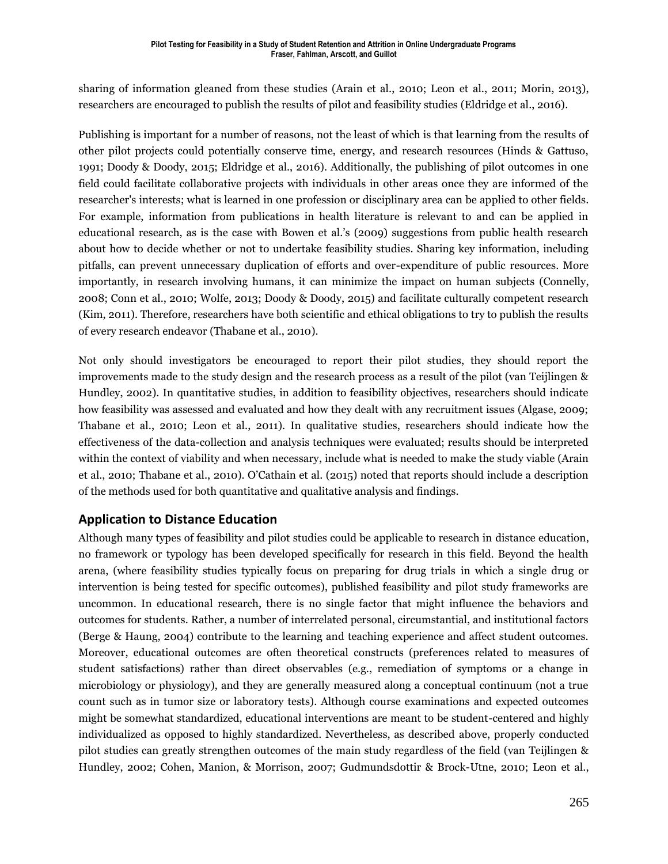sharing of information gleaned from these studies (Arain et al., 2010; Leon et al., 2011; Morin, 2013), researchers are encouraged to publish the results of pilot and feasibility studies (Eldridge et al., 2016).

Publishing is important for a number of reasons, not the least of which is that learning from the results of other pilot projects could potentially conserve time, energy, and research resources (Hinds & Gattuso, 1991; Doody & Doody, 2015; Eldridge et al., 2016). Additionally, the publishing of pilot outcomes in one field could facilitate collaborative projects with individuals in other areas once they are informed of the researcher's interests; what is learned in one profession or disciplinary area can be applied to other fields. For example, information from publications in health literature is relevant to and can be applied in educational research, as is the case with Bowen et al.'s (2009) suggestions from public health research about how to decide whether or not to undertake feasibility studies. Sharing key information, including pitfalls, can prevent unnecessary duplication of efforts and over-expenditure of public resources. More importantly, in research involving humans, it can minimize the impact on human subjects (Connelly, 2008; Conn et al., 2010; Wolfe, 2013; Doody & Doody, 2015) and facilitate culturally competent research (Kim, 2011). Therefore, researchers have both scientific and ethical obligations to try to publish the results of every research endeavor (Thabane et al., 2010).

Not only should investigators be encouraged to report their pilot studies, they should report the improvements made to the study design and the research process as a result of the pilot (van Teijlingen & Hundley, 2002). In quantitative studies, in addition to feasibility objectives, researchers should indicate how feasibility was assessed and evaluated and how they dealt with any recruitment issues (Algase, 2009; Thabane et al., 2010; Leon et al., 2011). In qualitative studies, researchers should indicate how the effectiveness of the data-collection and analysis techniques were evaluated; results should be interpreted within the context of viability and when necessary, include what is needed to make the study viable (Arain et al., 2010; Thabane et al., 2010). O'Cathain et al. (2015) noted that reports should include a description of the methods used for both quantitative and qualitative analysis and findings.

### **Application to Distance Education**

Although many types of feasibility and pilot studies could be applicable to research in distance education, no framework or typology has been developed specifically for research in this field. Beyond the health arena, (where feasibility studies typically focus on preparing for drug trials in which a single drug or intervention is being tested for specific outcomes), published feasibility and pilot study frameworks are uncommon. In educational research, there is no single factor that might influence the behaviors and outcomes for students. Rather, a number of interrelated personal, circumstantial, and institutional factors (Berge & Haung, 2004) contribute to the learning and teaching experience and affect student outcomes. Moreover, educational outcomes are often theoretical constructs (preferences related to measures of student satisfactions) rather than direct observables (e.g., remediation of symptoms or a change in microbiology or physiology), and they are generally measured along a conceptual continuum (not a true count such as in tumor size or laboratory tests). Although course examinations and expected outcomes might be somewhat standardized, educational interventions are meant to be student-centered and highly individualized as opposed to highly standardized. Nevertheless, as described above, properly conducted pilot studies can greatly strengthen outcomes of the main study regardless of the field (van Teijlingen & Hundley, 2002; Cohen, Manion, & Morrison, 2007; Gudmundsdottir & Brock-Utne, 2010; Leon et al.,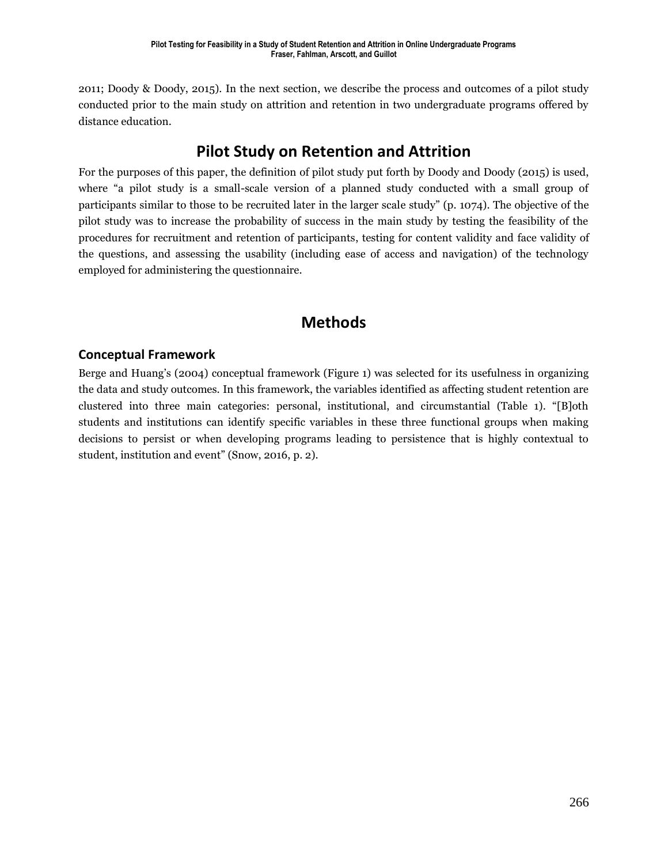2011; Doody & Doody, 2015). In the next section, we describe the process and outcomes of a pilot study conducted prior to the main study on attrition and retention in two undergraduate programs offered by distance education.

### **Pilot Study on Retention and Attrition**

For the purposes of this paper, the definition of pilot study put forth by Doody and Doody (2015) is used, where "a pilot study is a small-scale version of a planned study conducted with a small group of participants similar to those to be recruited later in the larger scale study" (p. 1074). The objective of the pilot study was to increase the probability of success in the main study by testing the feasibility of the procedures for recruitment and retention of participants, testing for content validity and face validity of the questions, and assessing the usability (including ease of access and navigation) of the technology employed for administering the questionnaire.

### **Methods**

### **Conceptual Framework**

Berge and Huang's (2004) conceptual framework (Figure 1) was selected for its usefulness in organizing the data and study outcomes. In this framework, the variables identified as affecting student retention are clustered into three main categories: personal, institutional, and circumstantial (Table 1). "[B]oth students and institutions can identify specific variables in these three functional groups when making decisions to persist or when developing programs leading to persistence that is highly contextual to student, institution and event" (Snow, 2016, p. 2).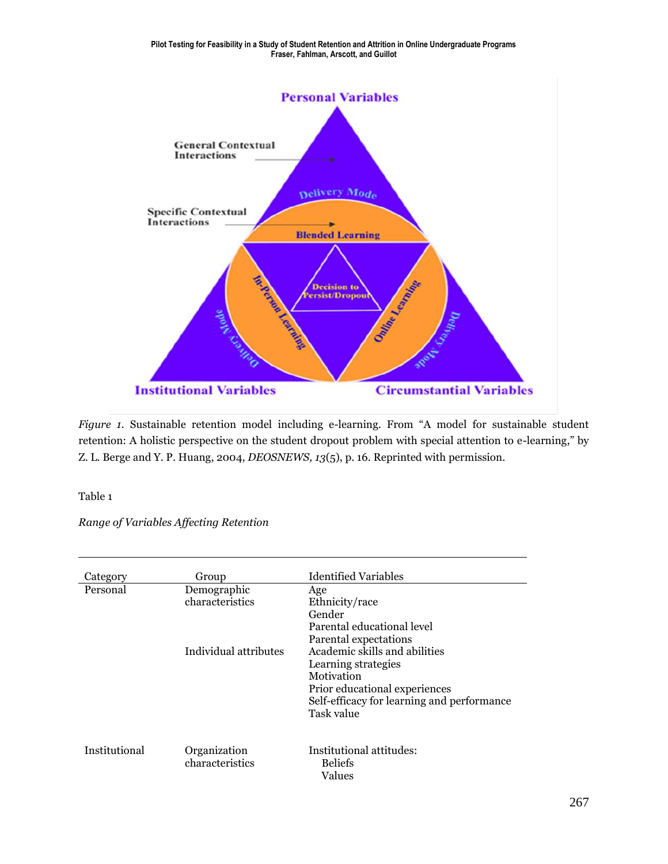

*Figure 1.* Sustainable retention model including e-learning. From "A model for sustainable student retention: A holistic perspective on the student dropout problem with special attention to e-learning," by Z. L. Berge and Y. P. Huang, 2004, *DEOSNEWS, 13*(5), p. 16. Reprinted with permission.

Table 1

*Range of Variables Affecting Retention* 

| Category      | Group                 | <b>Identified Variables</b>                |
|---------------|-----------------------|--------------------------------------------|
| Personal      | Demographic           | Age                                        |
|               | characteristics       | Ethnicity/race                             |
|               |                       | Gender                                     |
|               |                       | Parental educational level                 |
|               |                       | Parental expectations                      |
|               | Individual attributes | Academic skills and abilities              |
|               |                       | Learning strategies                        |
|               |                       | Motivation                                 |
|               |                       | Prior educational experiences              |
|               |                       | Self-efficacy for learning and performance |
|               |                       | Task value                                 |
|               |                       |                                            |
| Institutional | Organization          | Institutional attitudes:                   |
|               | characteristics       | <b>Beliefs</b>                             |
|               |                       | Values                                     |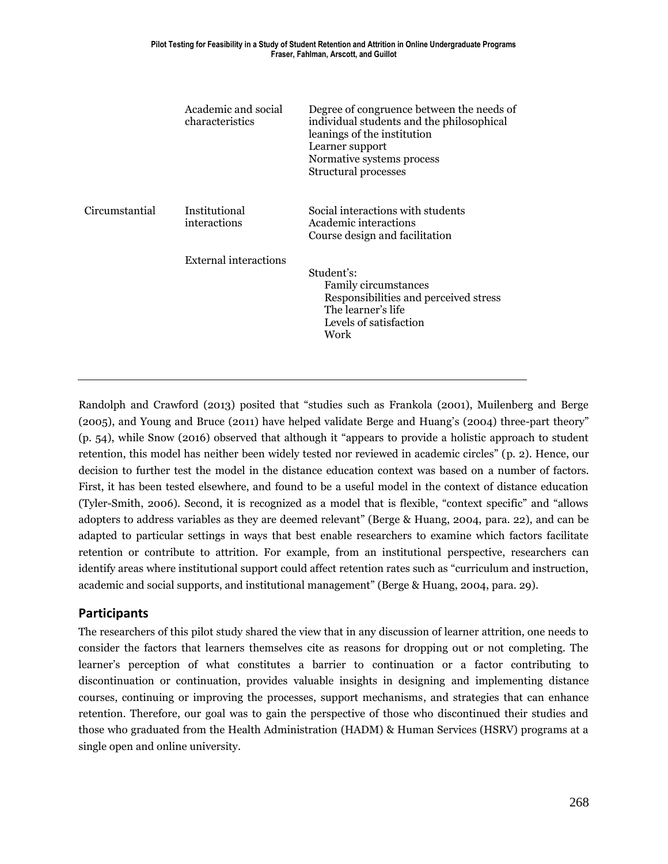|                | Academic and social<br>characteristics | Degree of congruence between the needs of<br>individual students and the philosophical<br>leanings of the institution<br>Learner support<br>Normative systems process<br><b>Structural processes</b> |
|----------------|----------------------------------------|------------------------------------------------------------------------------------------------------------------------------------------------------------------------------------------------------|
| Circumstantial | Institutional<br>interactions          | Social interactions with students<br>Academic interactions<br>Course design and facilitation                                                                                                         |
|                | External interactions                  | Student's:<br>Family circumstances<br>Responsibilities and perceived stress<br>The learner's life<br>Levels of satisfaction<br>Work                                                                  |

Randolph and Crawford (2013) posited that "studies such as Frankola (2001), Muilenberg and Berge (2005), and Young and Bruce (2011) have helped validate Berge and Huang's (2004) three-part theory" (p. 54), while Snow (2016) observed that although it "appears to provide a holistic approach to student retention, this model has neither been widely tested nor reviewed in academic circles" (p. 2). Hence, our decision to further test the model in the distance education context was based on a number of factors. First, it has been tested elsewhere, and found to be a useful model in the context of distance education (Tyler-Smith, 2006). Second, it is recognized as a model that is flexible, "context specific" and "allows adopters to address variables as they are deemed relevant" (Berge & Huang, 2004, para. 22), and can be adapted to particular settings in ways that best enable researchers to examine which factors facilitate retention or contribute to attrition. For example, from an institutional perspective, researchers can identify areas where institutional support could affect retention rates such as "curriculum and instruction, academic and social supports, and institutional management" (Berge & Huang, 2004, para. 29).

### **Participants**

The researchers of this pilot study shared the view that in any discussion of learner attrition, one needs to consider the factors that learners themselves cite as reasons for dropping out or not completing. The learner's perception of what constitutes a barrier to continuation or a factor contributing to discontinuation or continuation, provides valuable insights in designing and implementing distance courses, continuing or improving the processes, support mechanisms, and strategies that can enhance retention. Therefore, our goal was to gain the perspective of those who discontinued their studies and those who graduated from the Health Administration (HADM) & Human Services (HSRV) programs at a single open and online university.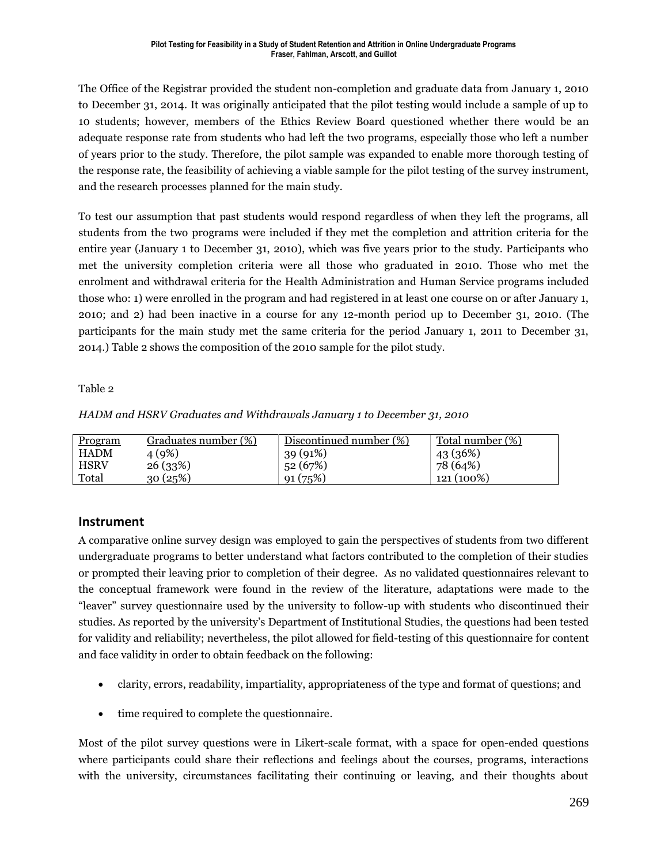#### **Pilot Testing for Feasibility in a Study of Student Retention and Attrition in Online Undergraduate Programs Fraser, Fahlman, Arscott, and Guillot**

The Office of the Registrar provided the student non-completion and graduate data from January 1, 2010 to December 31, 2014. It was originally anticipated that the pilot testing would include a sample of up to 10 students; however, members of the Ethics Review Board questioned whether there would be an adequate response rate from students who had left the two programs, especially those who left a number of years prior to the study. Therefore, the pilot sample was expanded to enable more thorough testing of the response rate, the feasibility of achieving a viable sample for the pilot testing of the survey instrument, and the research processes planned for the main study.

To test our assumption that past students would respond regardless of when they left the programs, all students from the two programs were included if they met the completion and attrition criteria for the entire year (January 1 to December 31, 2010), which was five years prior to the study. Participants who met the university completion criteria were all those who graduated in 2010. Those who met the enrolment and withdrawal criteria for the Health Administration and Human Service programs included those who: 1) were enrolled in the program and had registered in at least one course on or after January 1, 2010; and 2) had been inactive in a course for any 12-month period up to December 31, 2010. (The participants for the main study met the same criteria for the period January 1, 2011 to December 31, 2014.) Table 2 shows the composition of the 2010 sample for the pilot study.

Table 2

| HADM and HSRV Graduates and Withdrawals January 1 to December 31, 2010 |  |  |  |
|------------------------------------------------------------------------|--|--|--|
|                                                                        |  |  |  |

| <u>Program</u> | Graduates number (%) | Discontinued number (%) | Total number (%) |
|----------------|----------------------|-------------------------|------------------|
| <b>HADM</b>    | 4 (9%)               | 39(91%)                 | 43 (36%)         |
| <b>HSRV</b>    | 26 (33%)             | 52(67%)                 | 78 (64%)         |
| Total          | 30(25%)              | 91(75%)                 | $121(100\%)$     |

#### **Instrument**

A comparative online survey design was employed to gain the perspectives of students from two different undergraduate programs to better understand what factors contributed to the completion of their studies or prompted their leaving prior to completion of their degree. As no validated questionnaires relevant to the conceptual framework were found in the review of the literature, adaptations were made to the "leaver" survey questionnaire used by the university to follow-up with students who discontinued their studies. As reported by the university's Department of Institutional Studies, the questions had been tested for validity and reliability; nevertheless, the pilot allowed for field-testing of this questionnaire for content and face validity in order to obtain feedback on the following:

- clarity, errors, readability, impartiality, appropriateness of the type and format of questions; and
- time required to complete the questionnaire.

Most of the pilot survey questions were in Likert-scale format, with a space for open-ended questions where participants could share their reflections and feelings about the courses, programs, interactions with the university, circumstances facilitating their continuing or leaving, and their thoughts about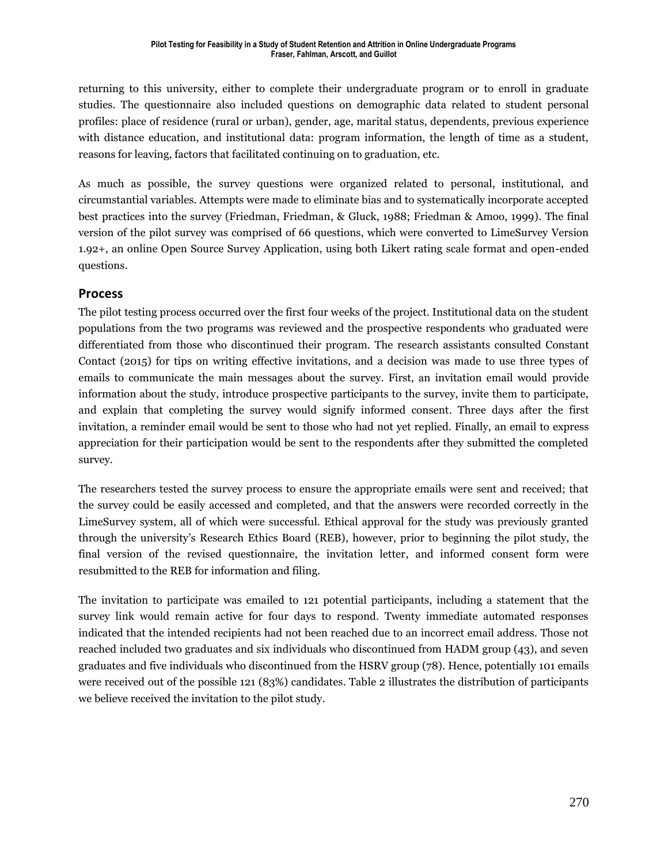returning to this university, either to complete their undergraduate program or to enroll in graduate studies. The questionnaire also included questions on demographic data related to student personal profiles: place of residence (rural or urban), gender, age, marital status, dependents, previous experience with distance education, and institutional data: program information, the length of time as a student, reasons for leaving, factors that facilitated continuing on to graduation, etc.

As much as possible, the survey questions were organized related to personal, institutional, and circumstantial variables. Attempts were made to eliminate bias and to systematically incorporate accepted best practices into the survey (Friedman, Friedman, & Gluck, 1988; Friedman & Amoo, 1999). The final version of the pilot survey was comprised of 66 questions, which were converted to LimeSurvey Version 1.92+, an online Open Source Survey Application, using both Likert rating scale format and open-ended questions.

### **Process**

The pilot testing process occurred over the first four weeks of the project. Institutional data on the student populations from the two programs was reviewed and the prospective respondents who graduated were differentiated from those who discontinued their program. The research assistants consulted Constant Contact (2015) for tips on writing effective invitations, and a decision was made to use three types of emails to communicate the main messages about the survey. First, an invitation email would provide information about the study, introduce prospective participants to the survey, invite them to participate, and explain that completing the survey would signify informed consent. Three days after the first invitation, a reminder email would be sent to those who had not yet replied. Finally, an email to express appreciation for their participation would be sent to the respondents after they submitted the completed survey.

The researchers tested the survey process to ensure the appropriate emails were sent and received; that the survey could be easily accessed and completed, and that the answers were recorded correctly in the LimeSurvey system, all of which were successful. Ethical approval for the study was previously granted through the university's Research Ethics Board (REB), however, prior to beginning the pilot study, the final version of the revised questionnaire, the invitation letter, and informed consent form were resubmitted to the REB for information and filing.

The invitation to participate was emailed to 121 potential participants, including a statement that the survey link would remain active for four days to respond. Twenty immediate automated responses indicated that the intended recipients had not been reached due to an incorrect email address. Those not reached included two graduates and six individuals who discontinued from HADM group (43), and seven graduates and five individuals who discontinued from the HSRV group (78). Hence, potentially 101 emails were received out of the possible 121 (83%) candidates. Table 2 illustrates the distribution of participants we believe received the invitation to the pilot study.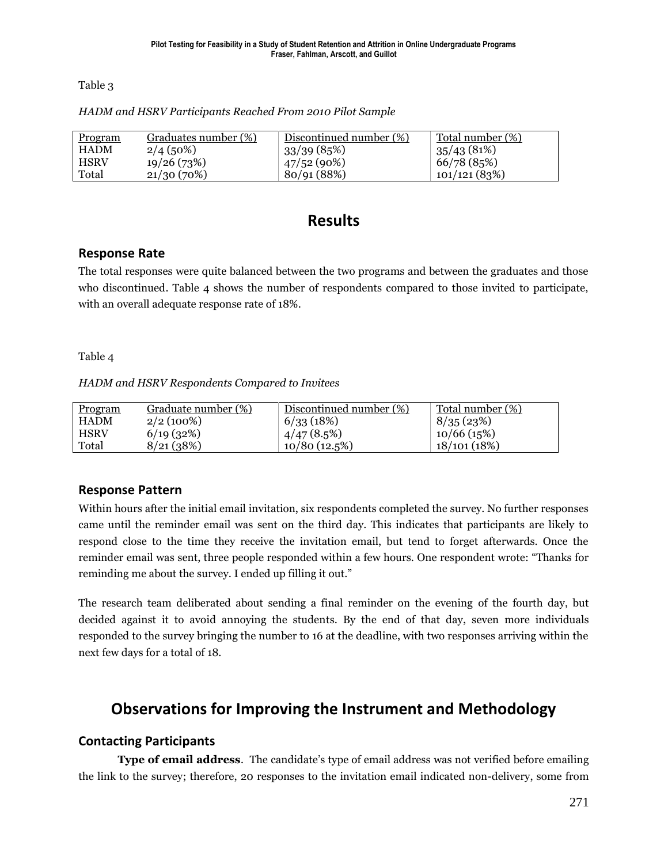Table 3

| Program     | Graduates number (%) | Discontinued number (%) | Total number (%) |
|-------------|----------------------|-------------------------|------------------|
| <b>HADM</b> | $2/4(50\%)$          | 33/39(85%)              | 35/43(81%)       |
| <b>HSRV</b> | 19/26(73%)           | 47/52 (90%)             | 66/78 (85%)      |
| Total       | 21/30(70%)           | 80/91 (88%)             | 101/121(83%)     |

*HADM and HSRV Participants Reached From 2010 Pilot Sample*

### **Results**

#### **Response Rate**

The total responses were quite balanced between the two programs and between the graduates and those who discontinued. Table 4 shows the number of respondents compared to those invited to participate, with an overall adequate response rate of 18%.

Table 4

#### *HADM and HSRV Respondents Compared to Invitees*

| <u>Program</u> | Graduate number (%) | Discontinued number (%) | Total number (%) |
|----------------|---------------------|-------------------------|------------------|
| <b>HADM</b>    | $2/2(100\%)$        | 6/33(18%)               | 8/35(23%)        |
| <b>HSRV</b>    | 6/19(32%)           | 4/47(8.5%)              | 10/66(15%)       |
| Total          | 8/21(38%)           | 10/80(12.5%)            | 18/101(18%)      |

### **Response Pattern**

Within hours after the initial email invitation, six respondents completed the survey. No further responses came until the reminder email was sent on the third day. This indicates that participants are likely to respond close to the time they receive the invitation email, but tend to forget afterwards. Once the reminder email was sent, three people responded within a few hours. One respondent wrote: "Thanks for reminding me about the survey. I ended up filling it out."

The research team deliberated about sending a final reminder on the evening of the fourth day, but decided against it to avoid annoying the students. By the end of that day, seven more individuals responded to the survey bringing the number to 16 at the deadline, with two responses arriving within the next few days for a total of 18.

### **Observations for Improving the Instrument and Methodology**

### **Contacting Participants**

**Type of email address***.* The candidate's type of email address was not verified before emailing the link to the survey; therefore, 20 responses to the invitation email indicated non-delivery, some from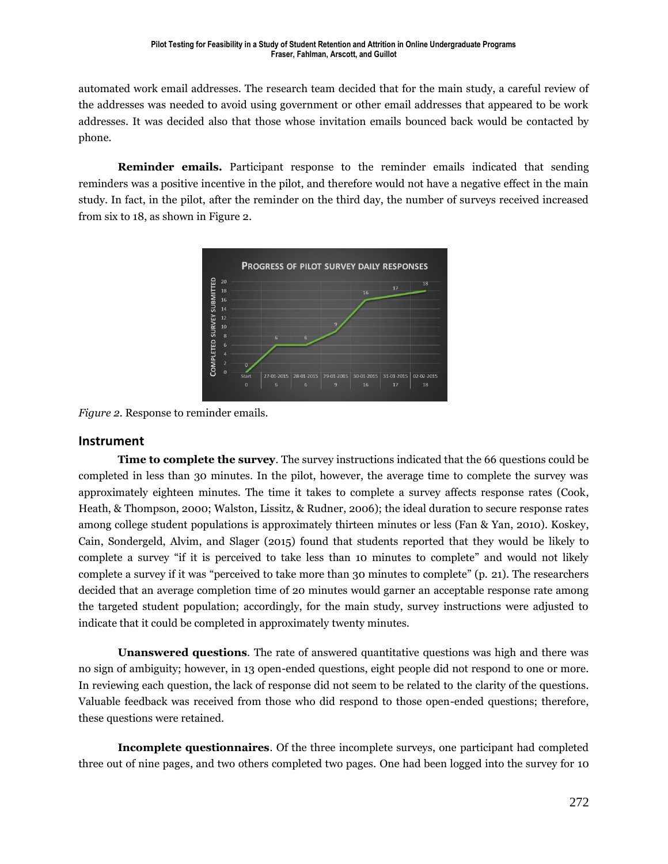automated work email addresses. The research team decided that for the main study, a careful review of the addresses was needed to avoid using government or other email addresses that appeared to be work addresses. It was decided also that those whose invitation emails bounced back would be contacted by phone.

**Reminder emails.** Participant response to the reminder emails indicated that sending reminders was a positive incentive in the pilot, and therefore would not have a negative effect in the main study. In fact, in the pilot, after the reminder on the third day, the number of surveys received increased from six to 18, as shown in Figure 2.



*Figure 2.* Response to reminder emails.

#### **Instrument**

**Time to complete the survey***.* The survey instructions indicated that the 66 questions could be completed in less than 30 minutes. In the pilot, however, the average time to complete the survey was approximately eighteen minutes. The time it takes to complete a survey affects response rates (Cook, Heath, & Thompson, 2000; Walston, Lissitz, & Rudner, 2006); the ideal duration to secure response rates among college student populations is approximately thirteen minutes or less (Fan & Yan, 2010). Koskey, Cain, Sondergeld, Alvim, and Slager (2015) found that students reported that they would be likely to complete a survey "if it is perceived to take less than 10 minutes to complete" and would not likely complete a survey if it was "perceived to take more than 30 minutes to complete" (p. 21). The researchers decided that an average completion time of 20 minutes would garner an acceptable response rate among the targeted student population; accordingly, for the main study, survey instructions were adjusted to indicate that it could be completed in approximately twenty minutes.

**Unanswered questions***.* The rate of answered quantitative questions was high and there was no sign of ambiguity; however, in 13 open-ended questions, eight people did not respond to one or more. In reviewing each question, the lack of response did not seem to be related to the clarity of the questions. Valuable feedback was received from those who did respond to those open-ended questions; therefore, these questions were retained.

**Incomplete questionnaires***.* Of the three incomplete surveys, one participant had completed three out of nine pages, and two others completed two pages. One had been logged into the survey for 10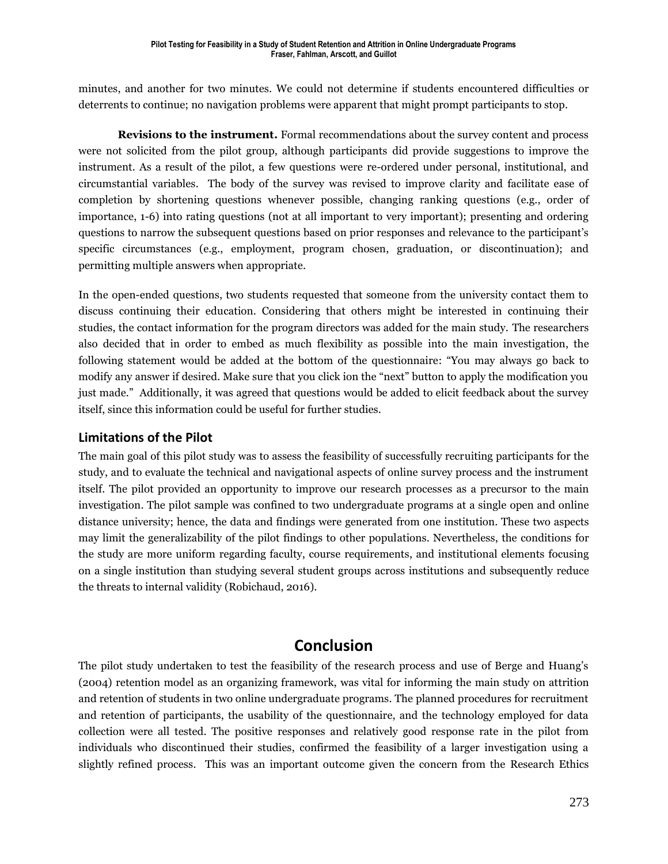minutes, and another for two minutes. We could not determine if students encountered difficulties or deterrents to continue; no navigation problems were apparent that might prompt participants to stop.

**Revisions to the instrument.** Formal recommendations about the survey content and process were not solicited from the pilot group, although participants did provide suggestions to improve the instrument. As a result of the pilot, a few questions were re-ordered under personal, institutional, and circumstantial variables. The body of the survey was revised to improve clarity and facilitate ease of completion by shortening questions whenever possible, changing ranking questions (e.g., order of importance, 1-6) into rating questions (not at all important to very important); presenting and ordering questions to narrow the subsequent questions based on prior responses and relevance to the participant's specific circumstances (e.g., employment, program chosen, graduation, or discontinuation); and permitting multiple answers when appropriate.

In the open-ended questions, two students requested that someone from the university contact them to discuss continuing their education. Considering that others might be interested in continuing their studies, the contact information for the program directors was added for the main study. The researchers also decided that in order to embed as much flexibility as possible into the main investigation, the following statement would be added at the bottom of the questionnaire: "You may always go back to modify any answer if desired. Make sure that you click ion the "next" button to apply the modification you just made." Additionally, it was agreed that questions would be added to elicit feedback about the survey itself, since this information could be useful for further studies.

#### **Limitations of the Pilot**

The main goal of this pilot study was to assess the feasibility of successfully recruiting participants for the study, and to evaluate the technical and navigational aspects of online survey process and the instrument itself. The pilot provided an opportunity to improve our research processes as a precursor to the main investigation. The pilot sample was confined to two undergraduate programs at a single open and online distance university; hence, the data and findings were generated from one institution. These two aspects may limit the generalizability of the pilot findings to other populations. Nevertheless, the conditions for the study are more uniform regarding faculty, course requirements, and institutional elements focusing on a single institution than studying several student groups across institutions and subsequently reduce the threats to internal validity (Robichaud, 2016).

### **Conclusion**

The pilot study undertaken to test the feasibility of the research process and use of Berge and Huang's (2004) retention model as an organizing framework, was vital for informing the main study on attrition and retention of students in two online undergraduate programs. The planned procedures for recruitment and retention of participants, the usability of the questionnaire, and the technology employed for data collection were all tested. The positive responses and relatively good response rate in the pilot from individuals who discontinued their studies, confirmed the feasibility of a larger investigation using a slightly refined process. This was an important outcome given the concern from the Research Ethics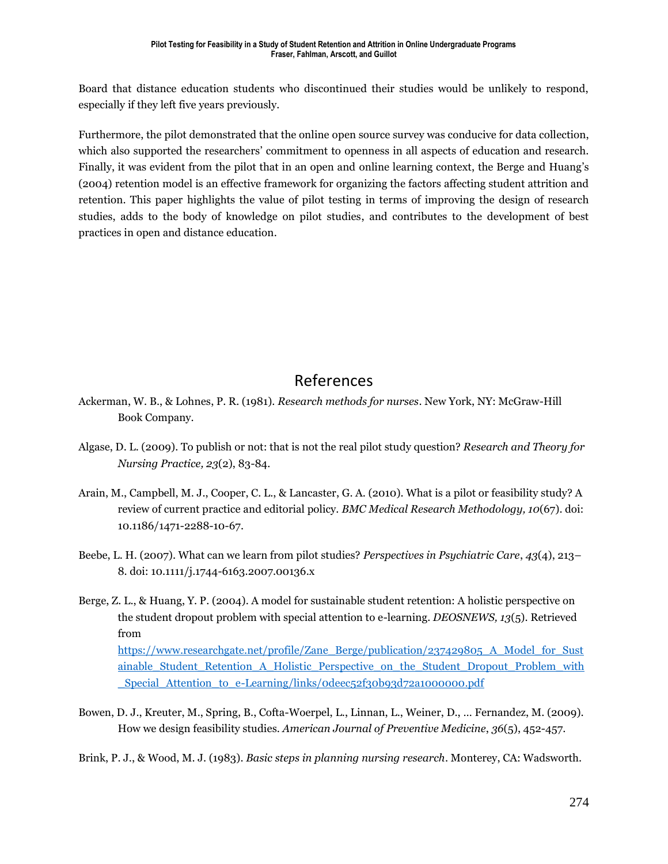Board that distance education students who discontinued their studies would be unlikely to respond, especially if they left five years previously.

Furthermore, the pilot demonstrated that the online open source survey was conducive for data collection, which also supported the researchers' commitment to openness in all aspects of education and research. Finally, it was evident from the pilot that in an open and online learning context, the Berge and Huang's (2004) retention model is an effective framework for organizing the factors affecting student attrition and retention. This paper highlights the value of pilot testing in terms of improving the design of research studies, adds to the body of knowledge on pilot studies, and contributes to the development of best practices in open and distance education.

## References

- Ackerman, W. B., & Lohnes, P. R. (1981). *Research methods for nurses*. New York, NY: McGraw-Hill Book Company.
- Algase, D. L. (2009). To publish or not: that is not the real pilot study question? *Research and Theory for Nursing Practice, 23*(2), 83-84.
- Arain, M., Campbell, M. J., Cooper, C. L., & Lancaster, G. A. (2010). What is a pilot or feasibility study? A review of current practice and editorial policy. *BMC Medical Research Methodology, 10*(67). doi: 10.1186/1471-2288-10-67.
- Beebe, L. H. (2007). What can we learn from pilot studies? *Perspectives in Psychiatric Care*, *43*(4), 213– 8. doi: 10.1111/j.1744-6163.2007.00136.x
- Berge, Z. L., & Huang, Y. P. (2004). A model for sustainable student retention: A holistic perspective on the student dropout problem with special attention to e-learning. *DEOSNEWS, 13*(5). Retrieved from [https://www.researchgate.net/profile/Zane\\_Berge/publication/237429805\\_A\\_Model\\_for\\_Sust](https://www.researchgate.net/profile/Zane_Berge/publication/237429805_A_Model_for_Sustainable_Student_Retention_A_Holistic_Perspective_on_the_Student_Dropout_Problem_with_Special_Attention_to_e-Learning/links/0deec52f30b93d72a1000000.pdf) [ainable\\_Student\\_Retention\\_A\\_Holistic\\_Perspective\\_on\\_the\\_Student\\_Dropout\\_Problem\\_with](https://www.researchgate.net/profile/Zane_Berge/publication/237429805_A_Model_for_Sustainable_Student_Retention_A_Holistic_Perspective_on_the_Student_Dropout_Problem_with_Special_Attention_to_e-Learning/links/0deec52f30b93d72a1000000.pdf) Special Attention to e-Learning/links/0deec52f30b93d72a1000000.pdf
- Bowen, D. J., Kreuter, M., Spring, B., Cofta-Woerpel, L., Linnan, L., Weiner, D., … Fernandez, M. (2009). How we design feasibility studies. *American Journal of Preventive Medicine*, *36*(5), 452-457.
- Brink, P. J., & Wood, M. J. (1983). *Basic steps in planning nursing research*. Monterey, CA: Wadsworth.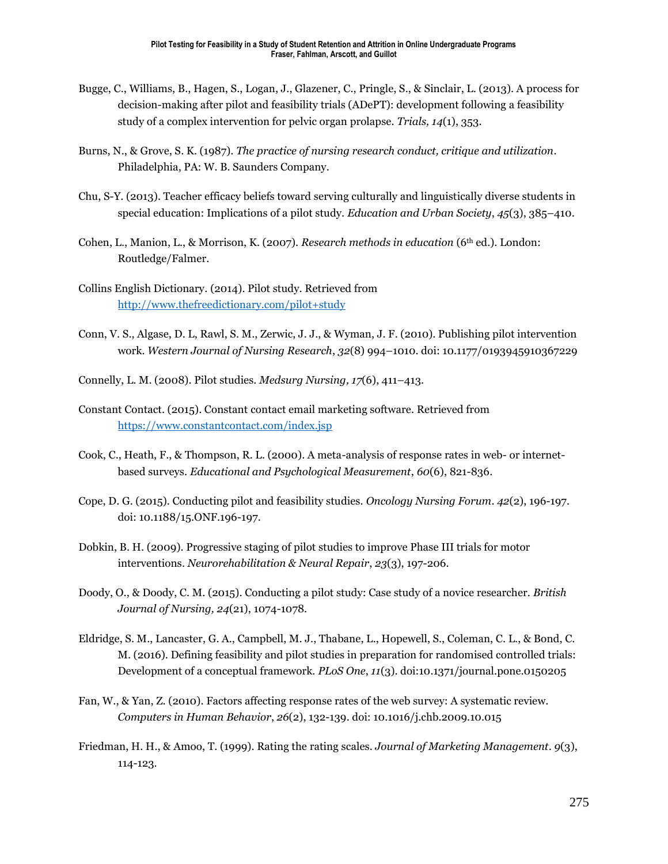- Bugge, C., Williams, B., Hagen, S., Logan, J., Glazener, C., Pringle, S., & Sinclair, L. (2013). A process for decision-making after pilot and feasibility trials (ADePT): development following a feasibility study of a complex intervention for pelvic organ prolapse. *Trials, 14*(1), 353.
- Burns, N., & Grove, S. K. (1987). *The practice of nursing research conduct, critique and utilization*. Philadelphia, PA: W. B. Saunders Company.
- Chu, S-Y. (2013). Teacher efficacy beliefs toward serving culturally and linguistically diverse students in special education: Implications of a pilot study. *Education and Urban Society*, *45*(3), 385–410.
- Cohen, L., Manion, L., & Morrison, K. (2007). *Research methods in education* (6th ed.). London: Routledge/Falmer.
- Collins English Dictionary. (2014). Pilot study. Retrieved from <http://www.thefreedictionary.com/pilot+study>
- Conn, V. S., Algase, D. L, Rawl, S. M., Zerwic, J. J., & Wyman, J. F. (2010). Publishing pilot intervention work. *Western Journal of Nursing Research*, *32*(8) 994–1010. doi: 10.1177/0193945910367229
- Connelly, L. M. (2008). Pilot studies. *Medsurg Nursing, 17*(6), 411–413.
- Constant Contact. (2015). Constant contact email marketing software. Retrieved from <https://www.constantcontact.com/index.jsp>
- Cook, C., Heath, F., & Thompson, R. L. (2000). A meta-analysis of response rates in web- or internetbased surveys. *Educational and Psychological Measurement*, *60*(6), 821-836.
- Cope, D. G. (2015). Conducting pilot and feasibility studies. *Oncology Nursing Forum*. *42*(2), 196-197. doi: 10.1188/15.ONF.196-197.
- Dobkin, B. H. (2009). Progressive staging of pilot studies to improve Phase III trials for motor interventions. *Neurorehabilitation & Neural Repair*, *23*(3), 197-206.
- Doody, O., & Doody, C. M. (2015). Conducting a pilot study: Case study of a novice researcher. *British Journal of Nursing, 24*(21), 1074-1078.
- Eldridge, S. M., Lancaster, G. A., Campbell, M. J., Thabane, L., Hopewell, S., Coleman, C. L., & Bond, C. M. (2016). Defining feasibility and pilot studies in preparation for randomised controlled trials: Development of a conceptual framework. *PLoS One*, *11*(3). doi:10.1371/journal.pone.0150205
- Fan, W., & Yan, Z. (2010). Factors affecting response rates of the web survey: A systematic review. *Computers in Human Behavior*, *26*(2), 132-139. doi: 10.1016/j.chb.2009.10.015
- Friedman, H. H., & Amoo, T. (1999). Rating the rating scales. *Journal of Marketing Management*. *9*(3), 114-123.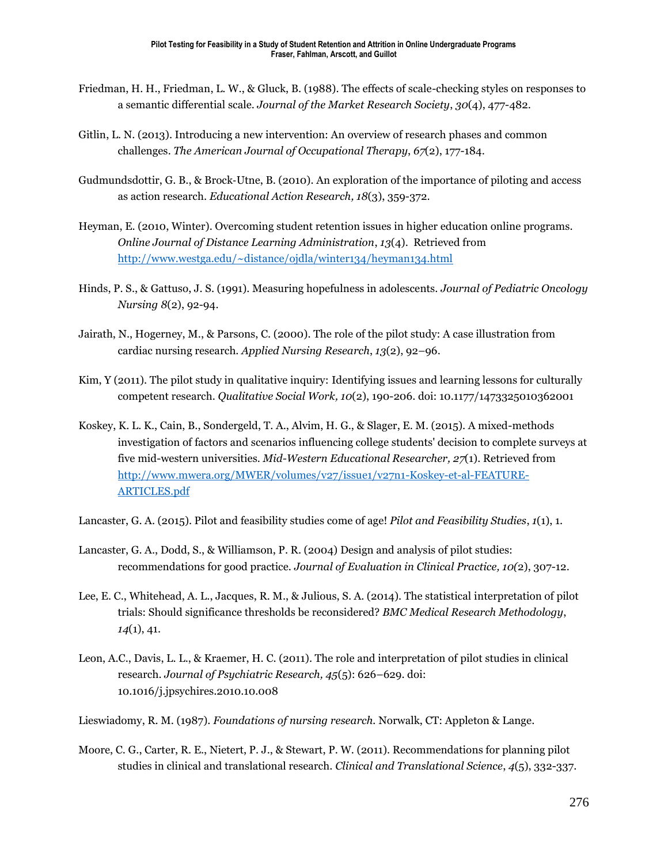- Friedman, H. H., Friedman, L. W., & Gluck, B. (1988). The effects of scale-checking styles on responses to a semantic differential scale. *Journal of the Market Research Society*, *30*(4), 477-482.
- Gitlin, L. N. (2013). Introducing a new intervention: An overview of research phases and common challenges. *The American Journal of Occupational Therapy*, *67*(2), 177-184.
- Gudmundsdottir, G. B., & Brock-Utne, B. (2010). An exploration of the importance of piloting and access as action research. *Educational Action Research, 18*(3), 359-372.
- Heyman, E. (2010, Winter). Overcoming student retention issues in higher education online programs. *Online Journal of Distance Learning Administration*, *13*(4). Retrieved from <http://www.westga.edu/~distance/ojdla/winter134/heyman134.html>
- Hinds, P. S., & Gattuso, J. S. (1991). Measuring hopefulness in adolescents. *Journal of Pediatric Oncology Nursing 8*(2), 92-94.
- Jairath, N., Hogerney, M., & Parsons, C. (2000). The role of the pilot study: A case illustration from cardiac nursing research. *Applied Nursing Research*, *13*(2), 92–96.
- Kim, Y (2011). The pilot study in qualitative inquiry: Identifying issues and learning lessons for culturally competent research. *Qualitative Social Work, 10*(2), 190-206. doi: 10.1177/1473325010362001
- Koskey, K. L. K., Cain, B., Sondergeld, T. A., Alvim, H. G., & Slager, E. M. (2015). A mixed-methods investigation of factors and scenarios influencing college students' decision to complete surveys at five mid-western universities. *Mid-Western Educational Researcher, 27*(1). Retrieved from [http://www.mwera.org/MWER/volumes/v27/issue1/v27n1-Koskey-et-al-FEATURE-](http://www.mwera.org/MWER/volumes/v27/issue1/v27n1-Koskey-et-al-FEATURE-ARTICLES.pdf)[ARTICLES.pdf](http://www.mwera.org/MWER/volumes/v27/issue1/v27n1-Koskey-et-al-FEATURE-ARTICLES.pdf)
- Lancaster, G. A. (2015). Pilot and feasibility studies come of age! *Pilot and Feasibility Studies*, *1*(1), 1.
- Lancaster, G. A., Dodd, S., & Williamson, P. R. (2004) Design and analysis of pilot studies: recommendations for good practice. *Journal of Evaluation in Clinical Practice, 10(*2), 307-12.
- Lee, E. C., Whitehead, A. L., Jacques, R. M., & Julious, S. A. (2014). The statistical interpretation of pilot trials: Should significance thresholds be reconsidered? *BMC Medical Research Methodology*, *14*(1), 41.
- Leon, A.C., Davis, L. L., & Kraemer, H. C. (2011). The role and interpretation of pilot studies in clinical research. *Journal of Psychiatric Research, 45*(5): 626–629. doi: 10.1016/j.jpsychires.2010.10.008
- Lieswiadomy, R. M. (1987). *Foundations of nursing research.* Norwalk, CT: Appleton & Lange.
- Moore, C. G., Carter, R. E., Nietert, P. J., & Stewart, P. W. (2011). Recommendations for planning pilot studies in clinical and translational research. *Clinical and Translational Science*, *4*(5), 332-337.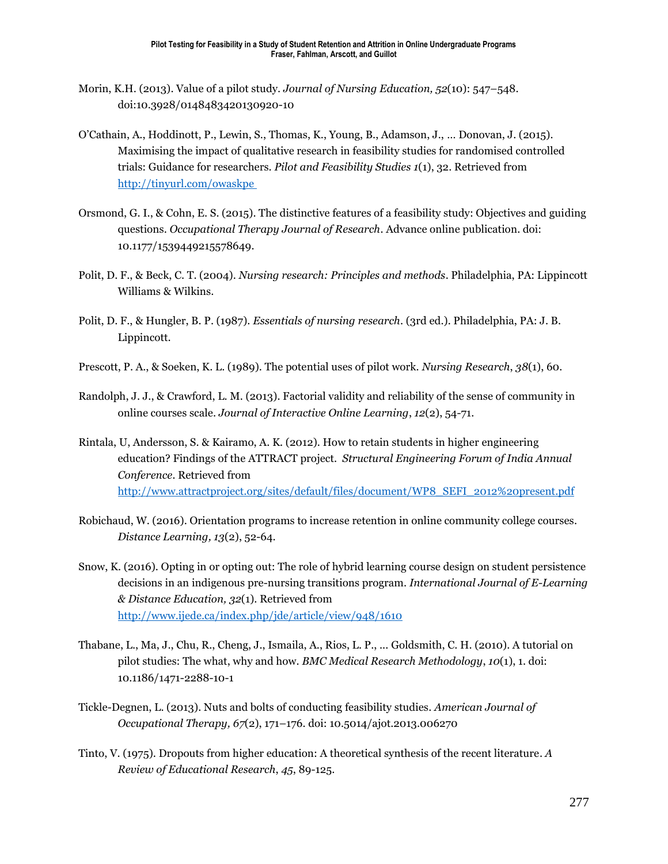- Morin, K.H. (2013). Value of a pilot study. *Journal of Nursing Education, 52*(10): 547–548. doi:10.3928/0148483420130920-10
- O'Cathain, A., Hoddinott, P., Lewin, S., Thomas, K., Young, B., Adamson, J., … Donovan, J. (2015). Maximising the impact of qualitative research in feasibility studies for randomised controlled trials: Guidance for researchers. *Pilot and Feasibility Studies 1*(1), 32. Retrieved from <http://tinyurl.com/owaskpe>
- Orsmond, G. I., & Cohn, E. S. (2015). The distinctive features of a feasibility study: Objectives and guiding questions. *Occupational Therapy Journal of Research*. Advance online publication. doi: 10.1177/1539449215578649.
- Polit, D. F., & Beck, C. T. (2004). *Nursing research: Principles and methods*. Philadelphia, PA: Lippincott Williams & Wilkins.
- Polit, D. F., & Hungler, B. P. (1987). *Essentials of nursing research*. (3rd ed.). Philadelphia, PA: J. B. Lippincott.
- Prescott, P. A., & Soeken, K. L. (1989). The potential uses of pilot work. *Nursing Research*, *38*(1), 60.
- Randolph, J. J., & Crawford, L. M. (2013). Factorial validity and reliability of the sense of community in online courses scale. *Journal of Interactive Online Learning*, *12*(2), 54-71.
- Rintala, U, Andersson, S. & Kairamo, A. K. (2012). How to retain students in higher engineering education? Findings of the ATTRACT project. *Structural Engineering Forum of India Annual Conference.* Retrieved from [http://www.attractproject.org/sites/default/files/document/WP8\\_SEFI\\_2012%20present.pdf](http://www.attractproject.org/sites/default/files/document/WP8_SEFI_2012%20present.pdf)
- Robichaud, W. (2016). Orientation programs to increase retention in online community college courses. *Distance Learning, 13*(2), 52-64.
- Snow, K. (2016). Opting in or opting out: The role of hybrid learning course design on student persistence decisions in an indigenous pre-nursing transitions program. *International Journal of E-Learning & Distance Education, 32*(1). Retrieved from <http://www.ijede.ca/index.php/jde/article/view/948/1610>
- Thabane, L., Ma, J., Chu, R., Cheng, J., Ismaila, A., Rios, L. P., ... Goldsmith, C. H. (2010). A tutorial on pilot studies: The what, why and how. *BMC Medical Research Methodology*, *10*(1), 1. doi: 10.1186/1471-2288-10-1
- Tickle-Degnen, L. (2013). Nuts and bolts of conducting feasibility studies. *American Journal of Occupational Therapy, 67*(2), 171–176. doi: 10.5014/ajot.2013.006270
- Tinto, V. (1975). Dropouts from higher education: A theoretical synthesis of the recent literature. *A Review of Educational Research*, *45*, 89-125.